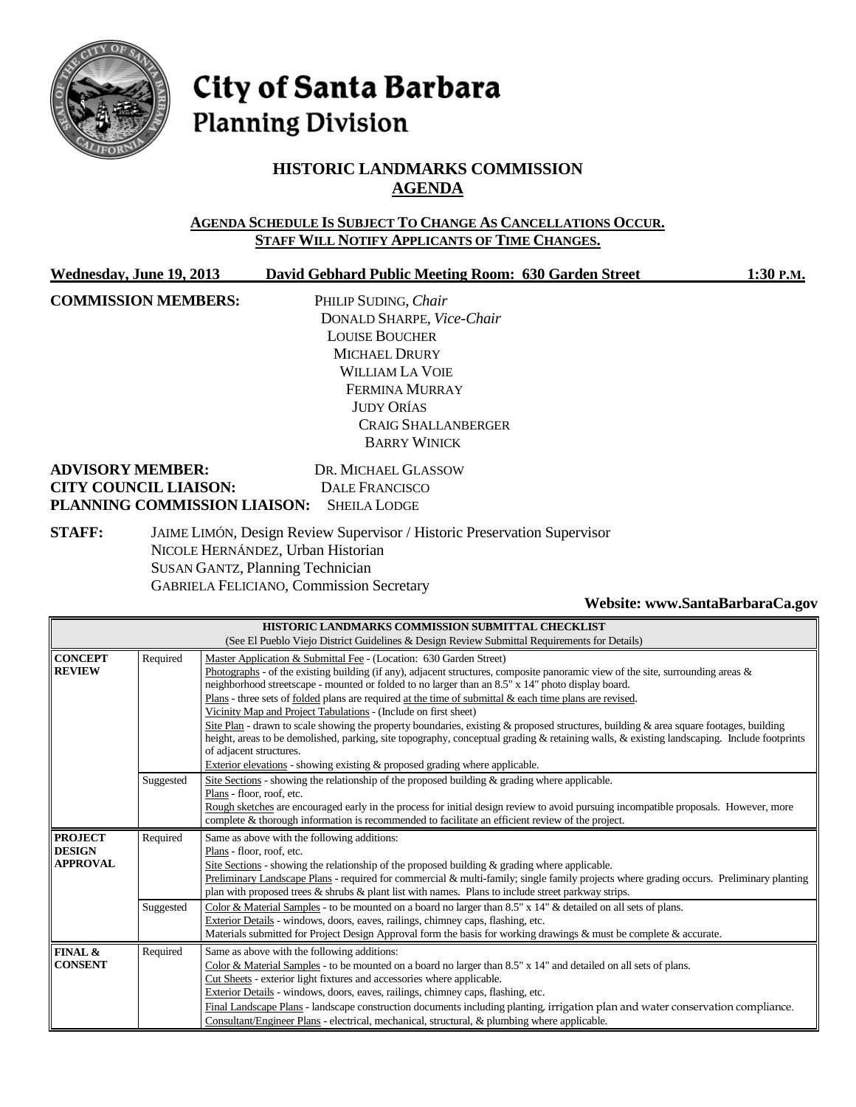

# City of Santa Barbara **Planning Division**

# **HISTORIC LANDMARKS COMMISSION AGENDA**

#### **AGENDA SCHEDULE IS SUBJECT TO CHANGE AS CANCELLATIONS OCCUR. STAFF WILL NOTIFY APPLICANTS OF TIME CHANGES.**

| Wednesday, June 19, 2013     | David Gebhard Public Meeting Room: 630 Garden Street | 1:30 P.M. |
|------------------------------|------------------------------------------------------|-----------|
| <b>COMMISSION MEMBERS:</b>   | PHILIP SUDING, Chair                                 |           |
|                              | DONALD SHARPE, Vice-Chair                            |           |
|                              | <b>LOUISE BOUCHER</b>                                |           |
|                              | <b>MICHAEL DRURY</b>                                 |           |
|                              | <b>WILLIAM LA VOIE</b>                               |           |
|                              | FERMINA MURRAY                                       |           |
|                              | <b>JUDY ORÍAS</b>                                    |           |
|                              | <b>CRAIG SHALLANBERGER</b>                           |           |
|                              | <b>BARRY WINICK</b>                                  |           |
| <b>ADVISORY MEMBER:</b>      | DR. MICHAEL GLASSOW                                  |           |
| <b>CITY COUNCIL LIAISON:</b> | DALE FRANCISCO                                       |           |
| PLANNING COMMISSION LIAISON: | <b>SHEILA LODGE</b>                                  |           |
|                              |                                                      |           |

**STAFF:** JAIME LIMÓN, Design Review Supervisor / Historic Preservation Supervisor NICOLE HERNÁNDEZ, Urban Historian SUSAN GANTZ, Planning Technician GABRIELA FELICIANO, Commission Secretary

#### **Website[: www.SantaBarbaraCa.gov](http://www.santabarbaraca.gov/)**

| HISTORIC LANDMARKS COMMISSION SUBMITTAL CHECKLIST<br>(See El Pueblo Viejo District Guidelines & Design Review Submittal Requirements for Details) |           |                                                                                                                                                                                                                                                                                                                                                                                                                                                                                                                                                                                                                                                                                                                                                                                                                                                                                              |  |
|---------------------------------------------------------------------------------------------------------------------------------------------------|-----------|----------------------------------------------------------------------------------------------------------------------------------------------------------------------------------------------------------------------------------------------------------------------------------------------------------------------------------------------------------------------------------------------------------------------------------------------------------------------------------------------------------------------------------------------------------------------------------------------------------------------------------------------------------------------------------------------------------------------------------------------------------------------------------------------------------------------------------------------------------------------------------------------|--|
| <b>CONCEPT</b><br><b>REVIEW</b>                                                                                                                   | Required  | Master Application & Submittal Fee - (Location: 630 Garden Street)<br>Photographs - of the existing building (if any), adjacent structures, composite panoramic view of the site, surrounding areas $\&$<br>neighborhood streetscape - mounted or folded to no larger than an 8.5" x 14" photo display board.<br>Plans - three sets of folded plans are required at the time of submittal & each time plans are revised.<br>Vicinity Map and Project Tabulations - (Include on first sheet)<br>Site Plan - drawn to scale showing the property boundaries, existing & proposed structures, building & area square footages, building<br>height, areas to be demolished, parking, site topography, conceptual grading & retaining walls, & existing landscaping. Include footprints<br>of adjacent structures.<br>Exterior elevations - showing existing & proposed grading where applicable. |  |
|                                                                                                                                                   | Suggested | Site Sections - showing the relationship of the proposed building & grading where applicable.<br>Plans - floor, roof, etc.<br>Rough sketches are encouraged early in the process for initial design review to avoid pursuing incompatible proposals. However, more<br>complete & thorough information is recommended to facilitate an efficient review of the project.                                                                                                                                                                                                                                                                                                                                                                                                                                                                                                                       |  |
| <b>PROJECT</b><br><b>DESIGN</b><br><b>APPROVAL</b>                                                                                                | Required  | Same as above with the following additions:<br>Plans - floor, roof, etc.<br>Site Sections - showing the relationship of the proposed building $\&$ grading where applicable.<br>Preliminary Landscape Plans - required for commercial & multi-family; single family projects where grading occurs. Preliminary planting<br>plan with proposed trees $\&$ shrubs $\&$ plant list with names. Plans to include street parkway strips.                                                                                                                                                                                                                                                                                                                                                                                                                                                          |  |
|                                                                                                                                                   | Suggested | Color & Material Samples - to be mounted on a board no larger than 8.5" x 14" & detailed on all sets of plans.<br>Exterior Details - windows, doors, eaves, railings, chimney caps, flashing, etc.<br>Materials submitted for Project Design Approval form the basis for working drawings & must be complete & accurate.                                                                                                                                                                                                                                                                                                                                                                                                                                                                                                                                                                     |  |
| <b>FINAL &amp;</b><br><b>CONSENT</b>                                                                                                              | Required  | Same as above with the following additions:<br>Color & Material Samples - to be mounted on a board no larger than $8.5" \times 14"$ and detailed on all sets of plans.<br>Cut Sheets - exterior light fixtures and accessories where applicable.<br>Exterior Details - windows, doors, eaves, railings, chimney caps, flashing, etc.<br>Final Landscape Plans - landscape construction documents including planting, irrigation plan and water conservation compliance.<br>Consultant/Engineer Plans - electrical, mechanical, structural, & plumbing where applicable.                                                                                                                                                                                                                                                                                                                      |  |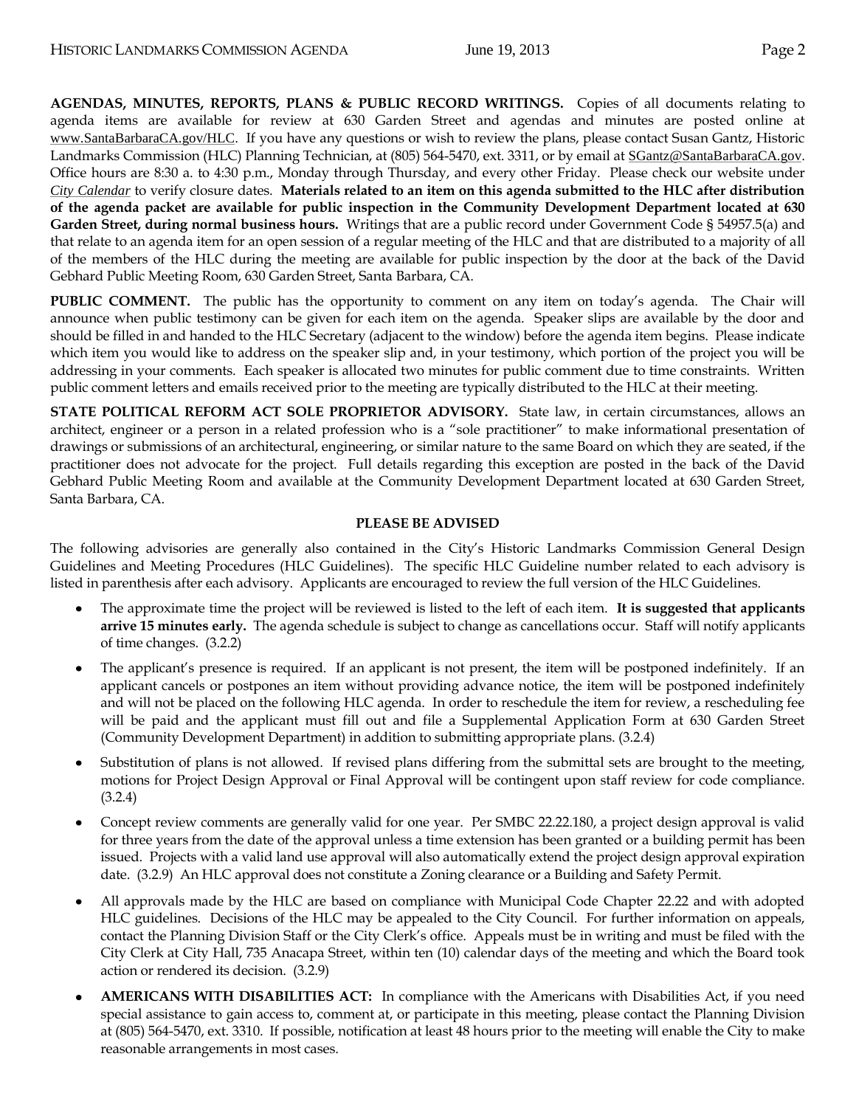**AGENDAS, MINUTES, REPORTS, PLANS & PUBLIC RECORD WRITINGS.** Copies of all documents relating to agenda items are available for review at 630 Garden Street and agendas and minutes are posted online at [www.SantaBarbaraCA.gov/HLC](http://www.santabarbaraca.gov/HLC). If you have any questions or wish to review the plans, please contact Susan Gantz, Historic Landmarks Commission (HLC) Planning Technician, at (805) 564-5470, ext. 3311, or by email at [SGantz@SantaBarbaraCA.gov](mailto:SGantz@SantaBarbaraCA.gov). Office hours are 8:30 a. to 4:30 p.m., Monday through Thursday, and every other Friday. Please check our website under *City [Calendar](http://www.santabarbaraca.gov/calendar)* to verify closure dates. **Materials related to an item on this agenda submitted to the HLC after distribution of the agenda packet are available for public inspection in the Community Development Department located at 630 Garden Street, during normal business hours.** Writings that are a public record under Government Code § 54957.5(a) and that relate to an agenda item for an open session of a regular meeting of the HLC and that are distributed to a majority of all of the members of the HLC during the meeting are available for public inspection by the door at the back of the David Gebhard Public Meeting Room, 630 Garden Street, Santa Barbara, CA.

**PUBLIC COMMENT.** The public has the opportunity to comment on any item on today's agenda. The Chair will announce when public testimony can be given for each item on the agenda. Speaker slips are available by the door and should be filled in and handed to the HLC Secretary (adjacent to the window) before the agenda item begins. Please indicate which item you would like to address on the speaker slip and, in your testimony, which portion of the project you will be addressing in your comments. Each speaker is allocated two minutes for public comment due to time constraints. Written public comment letters and emails received prior to the meeting are typically distributed to the HLC at their meeting.

**STATE POLITICAL REFORM ACT SOLE PROPRIETOR ADVISORY.** State law, in certain circumstances, allows an architect, engineer or a person in a related profession who is a "sole practitioner" to make informational presentation of drawings or submissions of an architectural, engineering, or similar nature to the same Board on which they are seated, if the practitioner does not advocate for the project. Full details regarding this exception are posted in the back of the David Gebhard Public Meeting Room and available at the Community Development Department located at 630 Garden Street, Santa Barbara, CA.

#### **PLEASE BE ADVISED**

The following advisories are generally also contained in the City's Historic Landmarks Commission General Design Guidelines and Meeting Procedures (HLC Guidelines). The specific HLC Guideline number related to each advisory is listed in parenthesis after each advisory. Applicants are encouraged to review the full version of the HLC Guidelines.

- The approximate time the project will be reviewed is listed to the left of each item. **It is suggested that applicants arrive 15 minutes early.** The agenda schedule is subject to change as cancellations occur. Staff will notify applicants of time changes. (3.2.2)
- The applicant's presence is required. If an applicant is not present, the item will be postponed indefinitely. If an applicant cancels or postpones an item without providing advance notice, the item will be postponed indefinitely and will not be placed on the following HLC agenda. In order to reschedule the item for review, a rescheduling fee will be paid and the applicant must fill out and file a Supplemental Application Form at 630 Garden Street (Community Development Department) in addition to submitting appropriate plans. (3.2.4)
- Substitution of plans is not allowed. If revised plans differing from the submittal sets are brought to the meeting, motions for Project Design Approval or Final Approval will be contingent upon staff review for code compliance. (3.2.4)
- Concept review comments are generally valid for one year. Per SMBC 22.22.180, a project design approval is valid for three years from the date of the approval unless a time extension has been granted or a building permit has been issued. Projects with a valid land use approval will also automatically extend the project design approval expiration date. (3.2.9) An HLC approval does not constitute a Zoning clearance or a Building and Safety Permit.
- All approvals made by the HLC are based on compliance with Municipal Code Chapter 22.22 and with adopted HLC guidelines. Decisions of the HLC may be appealed to the City Council. For further information on appeals, contact the Planning Division Staff or the City Clerk's office. Appeals must be in writing and must be filed with the City Clerk at City Hall, 735 Anacapa Street, within ten (10) calendar days of the meeting and which the Board took action or rendered its decision. (3.2.9)
- **AMERICANS WITH DISABILITIES ACT:** In compliance with the Americans with Disabilities Act, if you need special assistance to gain access to, comment at, or participate in this meeting, please contact the Planning Division at (805) 564-5470, ext. 3310. If possible, notification at least 48 hours prior to the meeting will enable the City to make reasonable arrangements in most cases.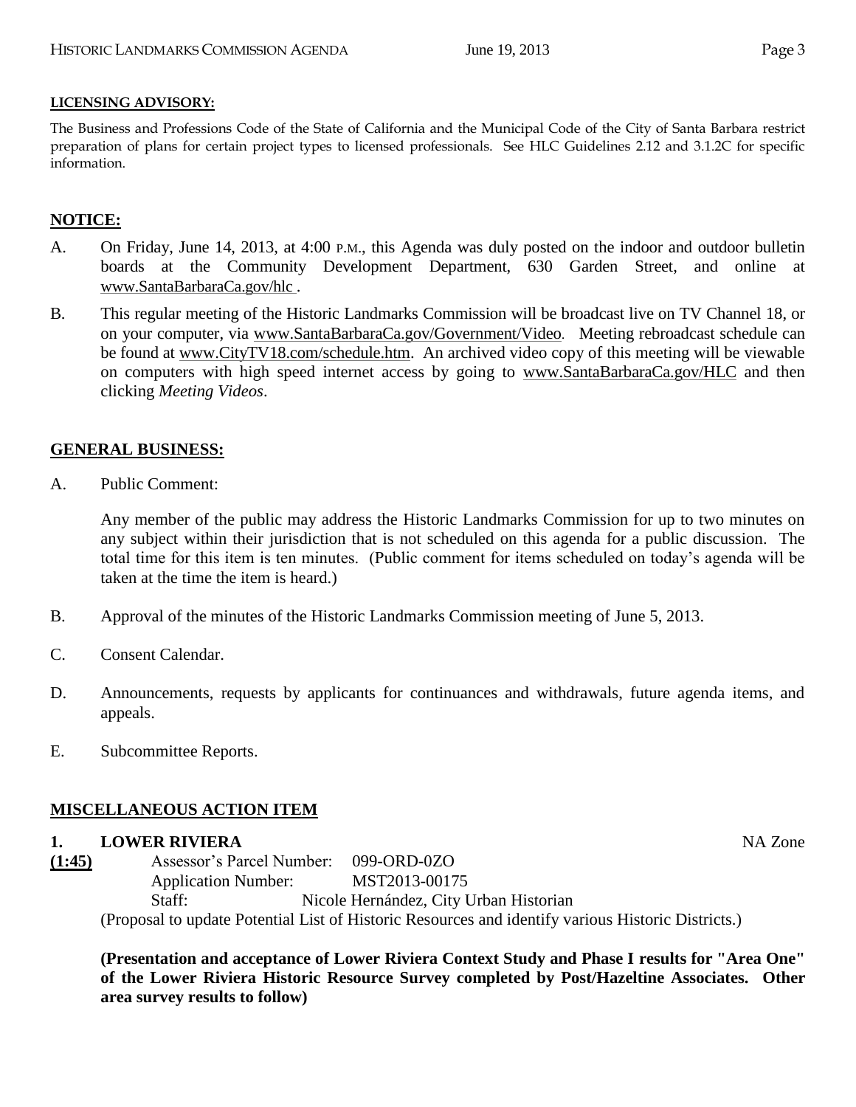#### **LICENSING ADVISORY:**

The Business and Professions Code of the State of California and the Municipal Code of the City of Santa Barbara restrict preparation of plans for certain project types to licensed professionals. See HLC Guidelines 2.12 and 3.1.2C for specific information.

## **NOTICE:**

- A. On Friday, June 14, 2013, at 4:00 P.M., this Agenda was duly posted on the indoor and outdoor bulletin boards at the Community Development Department, 630 Garden Street, and online at [www.SantaBarbaraCa.gov/hlc](http://www.santabarbaraca.gov/hlc) .
- B. This regular meeting of the Historic Landmarks Commission will be broadcast live on TV Channel 18, or on your computer, via [www.SantaBarbaraCa.gov/Government/Video](http://www.santabarbaraca.gov/Government/Video). Meeting rebroadcast schedule can be found at [www.CityTV18.com/schedule.htm.](http://www.citytv18.com/schedule.htm) An archived video copy of this meeting will be viewable on computers with high speed internet access by going to [www.SantaBarbaraCa.gov/HLC](http://www.santabarbaraca.gov/HLC) and then clicking *Meeting Videos*.

### **GENERAL BUSINESS:**

A. Public Comment:

Any member of the public may address the Historic Landmarks Commission for up to two minutes on any subject within their jurisdiction that is not scheduled on this agenda for a public discussion. The total time for this item is ten minutes. (Public comment for items scheduled on today's agenda will be taken at the time the item is heard.)

- B. Approval of the minutes of the Historic Landmarks Commission meeting of June 5, 2013.
- C. Consent Calendar.
- D. Announcements, requests by applicants for continuances and withdrawals, future agenda items, and appeals.
- E. Subcommittee Reports.

#### **MISCELLANEOUS ACTION ITEM**

#### **1. LOWER RIVIERA** NA Zone

**(1:45)** Assessor's Parcel Number: 099-ORD-0ZO Application Number: MST2013-00175 Staff: Nicole Hernández, City Urban Historian (Proposal to update Potential List of Historic Resources and identify various Historic Districts.)

**(Presentation and acceptance of Lower Riviera Context Study and Phase I results for "Area One" of the Lower Riviera Historic Resource Survey completed by Post/Hazeltine Associates. Other area survey results to follow)**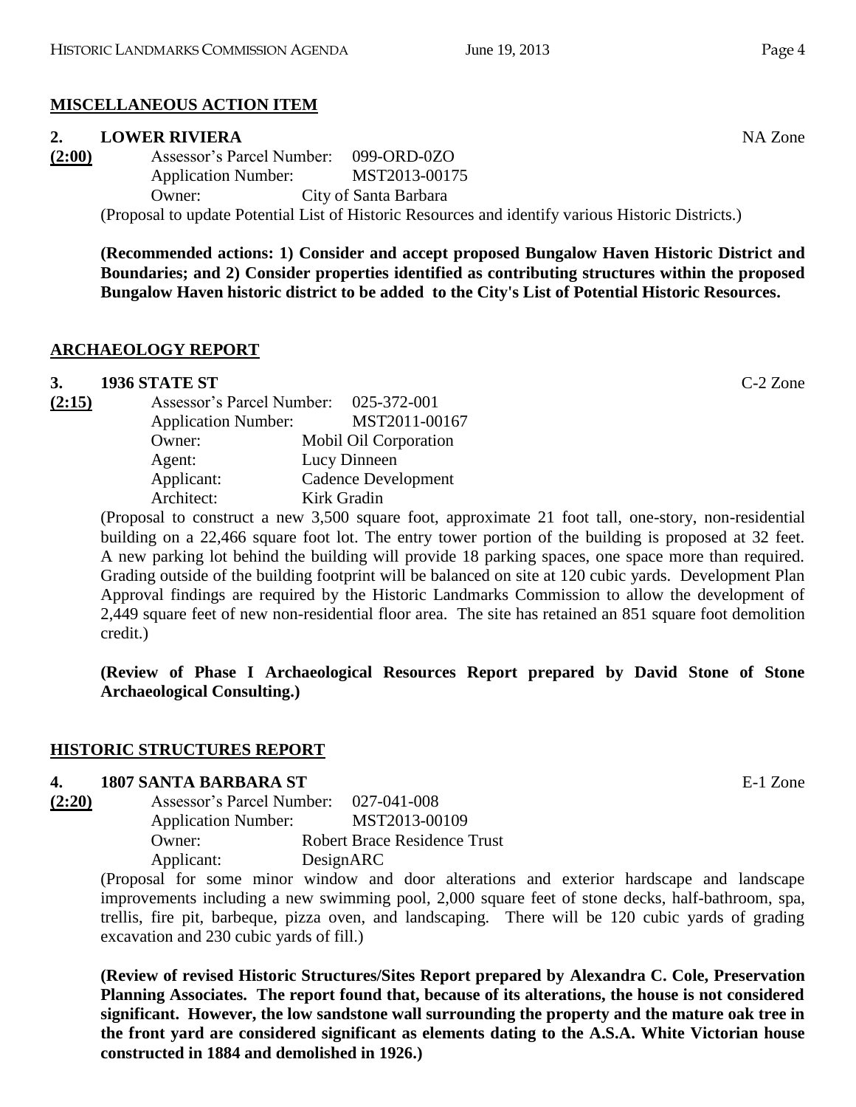# **MISCELLANEOUS ACTION ITEM**

## **2. LOWER RIVIERA** NA Zone

| (2:00) |                            | Assessor's Parcel Number: 099-ORD-0ZO                                          |
|--------|----------------------------|--------------------------------------------------------------------------------|
|        | <b>Application Number:</b> | MST2013-00175                                                                  |
|        | Owner:                     | City of Santa Barbara                                                          |
|        |                            | (Deepesel to undete Detential Liet of Historic Deservace and identify vertices |

(Proposal to update Potential List of Historic Resources and identify various Historic Districts.)

**(Recommended actions: 1) Consider and accept proposed Bungalow Haven Historic District and Boundaries; and 2) Consider properties identified as contributing structures within the proposed Bungalow Haven historic district to be added to the City's List of Potential Historic Resources.**

# **ARCHAEOLOGY REPORT**

# **3. 1936 STATE ST** C-2 Zone

| Assessor's Parcel Number:  | 025-372-001           |
|----------------------------|-----------------------|
| <b>Application Number:</b> | MST2011-00167         |
| Owner:                     | Mobil Oil Corporation |
| Agent:                     | Lucy Dinneen          |
| Applicant:                 | Cadence Development   |
| Architect:                 | Kirk Gradin           |
|                            |                       |

(Proposal to construct a new 3,500 square foot, approximate 21 foot tall, one-story, non-residential building on a 22,466 square foot lot. The entry tower portion of the building is proposed at 32 feet. A new parking lot behind the building will provide 18 parking spaces, one space more than required. Grading outside of the building footprint will be balanced on site at 120 cubic yards. Development Plan Approval findings are required by the Historic Landmarks Commission to allow the development of 2,449 square feet of new non-residential floor area. The site has retained an 851 square foot demolition credit.)

**(Review of Phase I Archaeological Resources Report prepared by David Stone of Stone Archaeological Consulting.)**

## **HISTORIC STRUCTURES REPORT**

## **4. 1807 SANTA BARBARA ST** E-1 Zone

| (2:20) | Assessor's Parcel Number:  |           | 027-041-008                         |
|--------|----------------------------|-----------|-------------------------------------|
|        | <b>Application Number:</b> |           | MST2013-00109                       |
|        | Owner:                     |           | <b>Robert Brace Residence Trust</b> |
|        | Applicant:                 | DesignARC |                                     |

(Proposal for some minor window and door alterations and exterior hardscape and landscape improvements including a new swimming pool, 2,000 square feet of stone decks, half-bathroom, spa, trellis, fire pit, barbeque, pizza oven, and landscaping. There will be 120 cubic yards of grading excavation and 230 cubic yards of fill.)

**(Review of revised Historic Structures/Sites Report prepared by Alexandra C. Cole, Preservation Planning Associates. The report found that, because of its alterations, the house is not considered significant. However, the low sandstone wall surrounding the property and the mature oak tree in the front yard are considered significant as elements dating to the A.S.A. White Victorian house constructed in 1884 and demolished in 1926.)**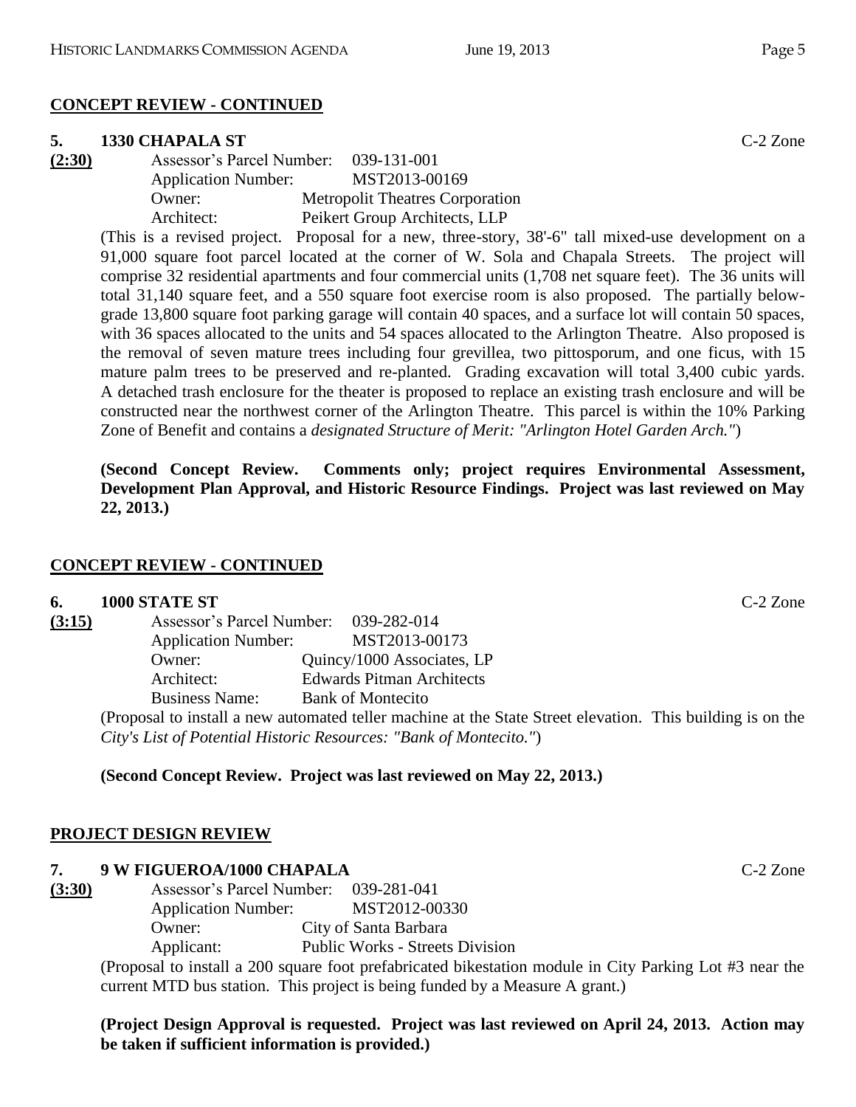#### **CONCEPT REVIEW - CONTINUED**

#### **5. 1330 CHAPALA ST** C-2 Zone

**(2:30)** Assessor's Parcel Number: 039-131-001 Application Number: MST2013-00169 Owner: Metropolit Theatres Corporation Architect: Peikert Group Architects, LLP

> (This is a revised project. Proposal for a new, three-story, 38'-6" tall mixed-use development on a 91,000 square foot parcel located at the corner of W. Sola and Chapala Streets. The project will comprise 32 residential apartments and four commercial units (1,708 net square feet). The 36 units will total 31,140 square feet, and a 550 square foot exercise room is also proposed. The partially belowgrade 13,800 square foot parking garage will contain 40 spaces, and a surface lot will contain 50 spaces, with 36 spaces allocated to the units and 54 spaces allocated to the Arlington Theatre. Also proposed is the removal of seven mature trees including four grevillea, two pittosporum, and one ficus, with 15 mature palm trees to be preserved and re-planted. Grading excavation will total 3,400 cubic yards. A detached trash enclosure for the theater is proposed to replace an existing trash enclosure and will be constructed near the northwest corner of the Arlington Theatre. This parcel is within the 10% Parking Zone of Benefit and contains a *designated Structure of Merit: "Arlington Hotel Garden Arch."*)

> **(Second Concept Review. Comments only; project requires Environmental Assessment, Development Plan Approval, and Historic Resource Findings. Project was last reviewed on May 22, 2013.)**

#### **CONCEPT REVIEW - CONTINUED**

#### **6. 1000 STATE ST** C-2 Zone

| (3:15) | Assessor's Parcel Number: 039-282-014 |                                                                                                            |
|--------|---------------------------------------|------------------------------------------------------------------------------------------------------------|
|        | <b>Application Number:</b>            | MST2013-00173                                                                                              |
|        | Owner:                                | Quincy/1000 Associates, LP                                                                                 |
|        | Architect:                            | <b>Edwards Pitman Architects</b>                                                                           |
|        | <b>Business Name:</b>                 | <b>Bank of Montecito</b>                                                                                   |
|        |                                       | (Proposal to install a new automated teller machine at the State Street elevation. This building is on the |
|        |                                       | City's List of Potential Historic Resources: "Bank of Montecito.")                                         |

#### **(Second Concept Review. Project was last reviewed on May 22, 2013.)**

#### **PROJECT DESIGN REVIEW**

#### **7. 9 W FIGUEROA/1000 CHAPALA** C-2 Zone

**(3:30)** Assessor's Parcel Number: 039-281-041 Application Number: MST2012-00330 Owner: City of Santa Barbara Applicant: Public Works - Streets Division

> (Proposal to install a 200 square foot prefabricated bikestation module in City Parking Lot #3 near the current MTD bus station. This project is being funded by a Measure A grant.)

#### **(Project Design Approval is requested. Project was last reviewed on April 24, 2013. Action may be taken if sufficient information is provided.)**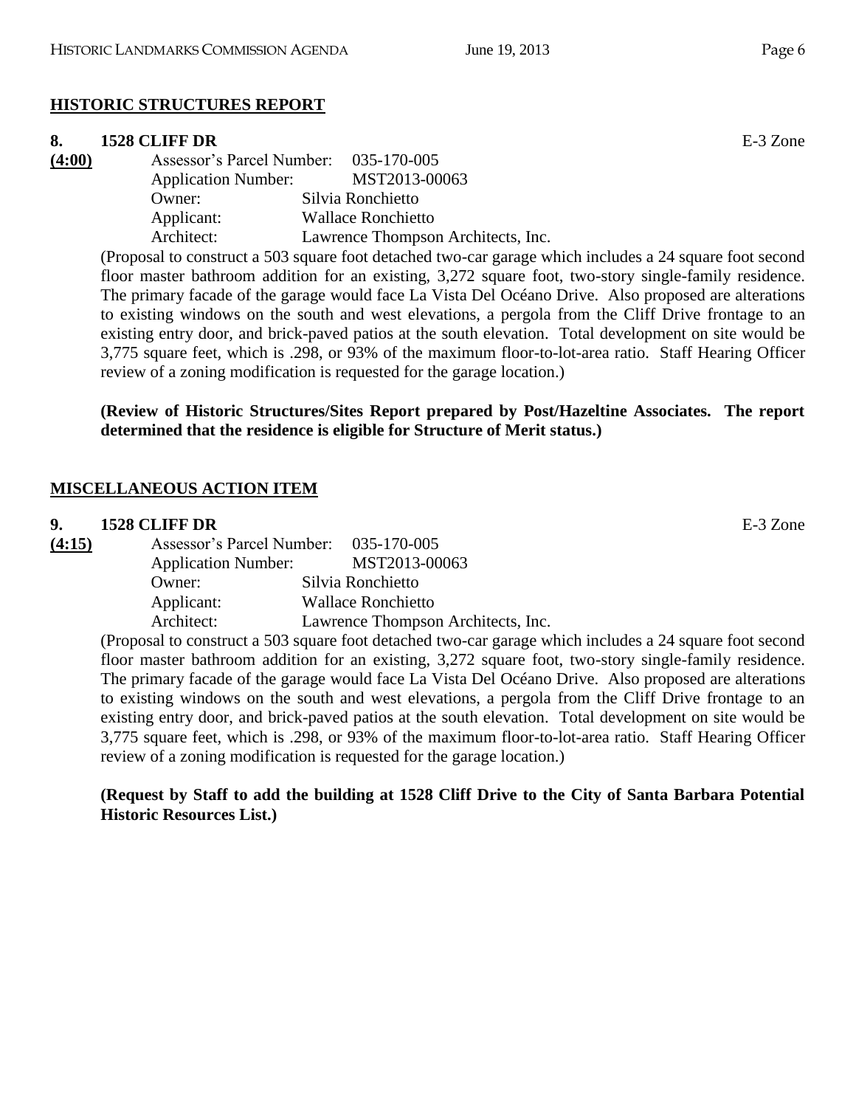# **HISTORIC STRUCTURES REPORT**

## **8. 1528 CLIFF DR** E-3 Zone

| (4:00) | Assessor's Parcel Number: 035-170-005 |                                                                    |
|--------|---------------------------------------|--------------------------------------------------------------------|
|        | <b>Application Number:</b>            | MST2013-00063                                                      |
|        | Owner:                                | Silvia Ronchietto                                                  |
|        | Applicant:                            | <b>Wallace Ronchietto</b>                                          |
|        | Architect:                            | Lawrence Thompson Architects, Inc.                                 |
|        |                                       | (Droposal to construct a 502 square feet detached two car garage w |

(Proposal to construct a 503 square foot detached two-car garage which includes a 24 square foot second floor master bathroom addition for an existing, 3,272 square foot, two-story single-family residence. The primary facade of the garage would face La Vista Del Océano Drive. Also proposed are alterations to existing windows on the south and west elevations, a pergola from the Cliff Drive frontage to an existing entry door, and brick-paved patios at the south elevation. Total development on site would be 3,775 square feet, which is .298, or 93% of the maximum floor-to-lot-area ratio. Staff Hearing Officer review of a zoning modification is requested for the garage location.)

**(Review of Historic Structures/Sites Report prepared by Post/Hazeltine Associates. The report determined that the residence is eligible for Structure of Merit status.)**

# **MISCELLANEOUS ACTION ITEM**

## **9. 1528 CLIFF DR** E-3 Zone

| (4:15) |                            | Assessor's Parcel Number: 035-170-005 |
|--------|----------------------------|---------------------------------------|
|        | <b>Application Number:</b> | MST2013-00063                         |
|        | Owner:                     | Silvia Ronchietto                     |
|        | Applicant:                 | Wallace Ronchietto                    |
|        | Architect:                 | Lawrence Thompson Architects, Inc.    |
|        |                            |                                       |

(Proposal to construct a 503 square foot detached two-car garage which includes a 24 square foot second floor master bathroom addition for an existing, 3,272 square foot, two-story single-family residence. The primary facade of the garage would face La Vista Del Océano Drive. Also proposed are alterations to existing windows on the south and west elevations, a pergola from the Cliff Drive frontage to an existing entry door, and brick-paved patios at the south elevation. Total development on site would be 3,775 square feet, which is .298, or 93% of the maximum floor-to-lot-area ratio. Staff Hearing Officer review of a zoning modification is requested for the garage location.)

## **(Request by Staff to add the building at 1528 Cliff Drive to the City of Santa Barbara Potential Historic Resources List.)**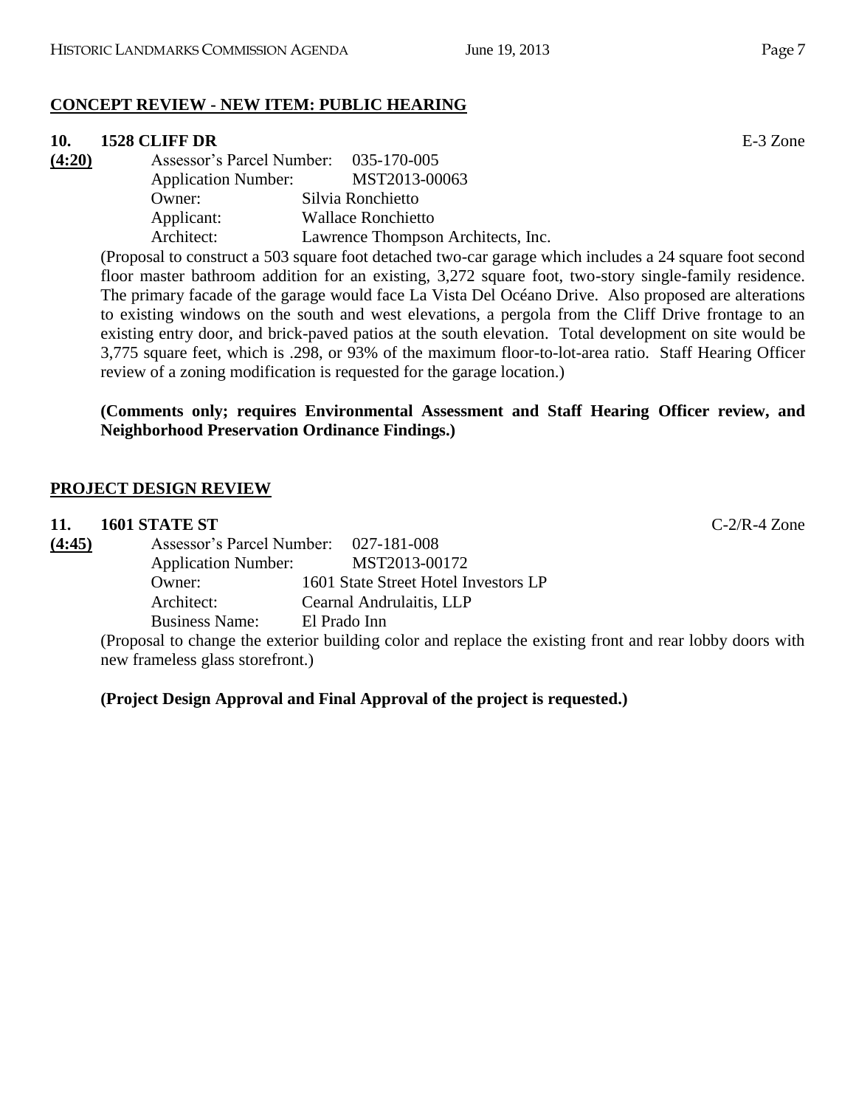# **CONCEPT REVIEW - NEW ITEM: PUBLIC HEARING**

## **10. 1528 CLIFF DR** E-3 Zone

**(4:20)** Assessor's Parcel Number: 035-170-005 Application Number: MST2013-00063 Owner: Silvia Ronchietto Applicant: Wallace Ronchietto Architect: Lawrence Thompson Architects, Inc.

(Proposal to construct a 503 square foot detached two-car garage which includes a 24 square foot second floor master bathroom addition for an existing, 3,272 square foot, two-story single-family residence. The primary facade of the garage would face La Vista Del Océano Drive. Also proposed are alterations to existing windows on the south and west elevations, a pergola from the Cliff Drive frontage to an existing entry door, and brick-paved patios at the south elevation. Total development on site would be 3,775 square feet, which is .298, or 93% of the maximum floor-to-lot-area ratio. Staff Hearing Officer review of a zoning modification is requested for the garage location.)

## **(Comments only; requires Environmental Assessment and Staff Hearing Officer review, and Neighborhood Preservation Ordinance Findings.)**

# **PROJECT DESIGN REVIEW**

| 11.    | 1601 STATE ST                         | $C-2/R-4$ Zone                                                                                           |
|--------|---------------------------------------|----------------------------------------------------------------------------------------------------------|
| (4:45) | Assessor's Parcel Number: 027-181-008 |                                                                                                          |
|        | <b>Application Number:</b>            | MST2013-00172                                                                                            |
|        | Owner:                                | 1601 State Street Hotel Investors LP                                                                     |
|        | Architect:                            | Cearnal Andrulaitis, LLP                                                                                 |
|        | <b>Business Name:</b>                 | El Prado Inn                                                                                             |
|        |                                       | (Proposal to change the exterior building color and replace the existing front and rear lobby doors with |
|        | new frameless glass storefront.)      |                                                                                                          |

## **(Project Design Approval and Final Approval of the project is requested.)**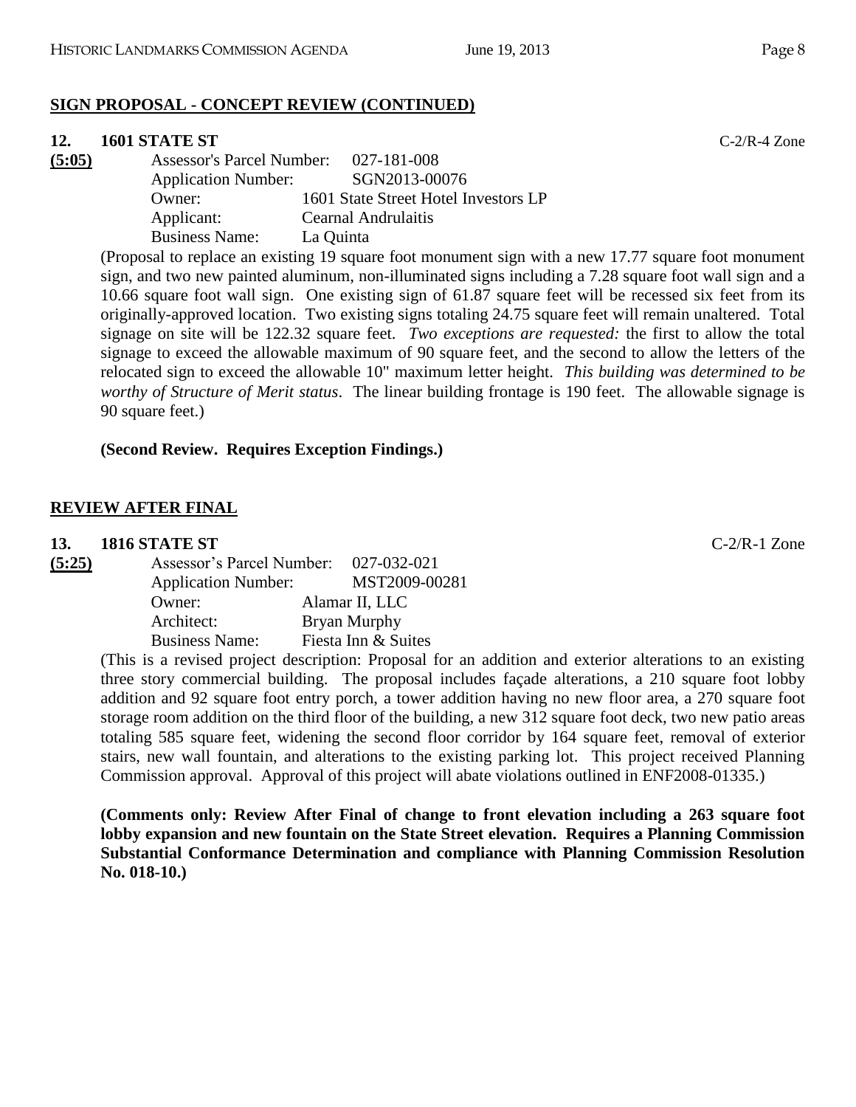## **SIGN PROPOSAL - CONCEPT REVIEW (CONTINUED)**

## **12. 1601 STATE ST** C-2/R-4 Zone

| (5:05) | <b>Assessor's Parcel Number:</b> | 027-181-008                                                        |
|--------|----------------------------------|--------------------------------------------------------------------|
|        | <b>Application Number:</b>       | SGN2013-00076                                                      |
|        | Owner:                           | 1601 State Street Hotel Investors LP                               |
|        | Applicant:                       | Cearnal Andrulaitis                                                |
|        | <b>Business Name:</b>            | La Quinta                                                          |
|        |                                  | (Droposal to replace an evicting 10 square feet monument sign with |

(Proposal to replace an existing 19 square foot monument sign with a new 17.77 square foot monument sign, and two new painted aluminum, non-illuminated signs including a 7.28 square foot wall sign and a 10.66 square foot wall sign. One existing sign of 61.87 square feet will be recessed six feet from its originally-approved location. Two existing signs totaling 24.75 square feet will remain unaltered. Total signage on site will be 122.32 square feet. *Two exceptions are requested:* the first to allow the total signage to exceed the allowable maximum of 90 square feet, and the second to allow the letters of the relocated sign to exceed the allowable 10" maximum letter height. *This building was determined to be worthy of Structure of Merit status*. The linear building frontage is 190 feet. The allowable signage is 90 square feet.)

## **(Second Review. Requires Exception Findings.)**

## **REVIEW AFTER FINAL**

## **13. 1816 STATE ST** C-2/R-1 Zone

| (5:25) | Assessor's Parcel Number:  | 027-032-021         |
|--------|----------------------------|---------------------|
|        | <b>Application Number:</b> | MST2009-00281       |
|        | Owner:                     | Alamar II, LLC      |
|        | Architect:                 | Bryan Murphy        |
|        | <b>Business Name:</b>      | Fiesta Inn & Suites |

(This is a revised project description: Proposal for an addition and exterior alterations to an existing three story commercial building. The proposal includes façade alterations, a 210 square foot lobby addition and 92 square foot entry porch, a tower addition having no new floor area, a 270 square foot storage room addition on the third floor of the building, a new 312 square foot deck, two new patio areas totaling 585 square feet, widening the second floor corridor by 164 square feet, removal of exterior stairs, new wall fountain, and alterations to the existing parking lot. This project received Planning Commission approval. Approval of this project will abate violations outlined in ENF2008-01335.)

**(Comments only: Review After Final of change to front elevation including a 263 square foot lobby expansion and new fountain on the State Street elevation. Requires a Planning Commission Substantial Conformance Determination and compliance with Planning Commission Resolution No. 018-10.)**